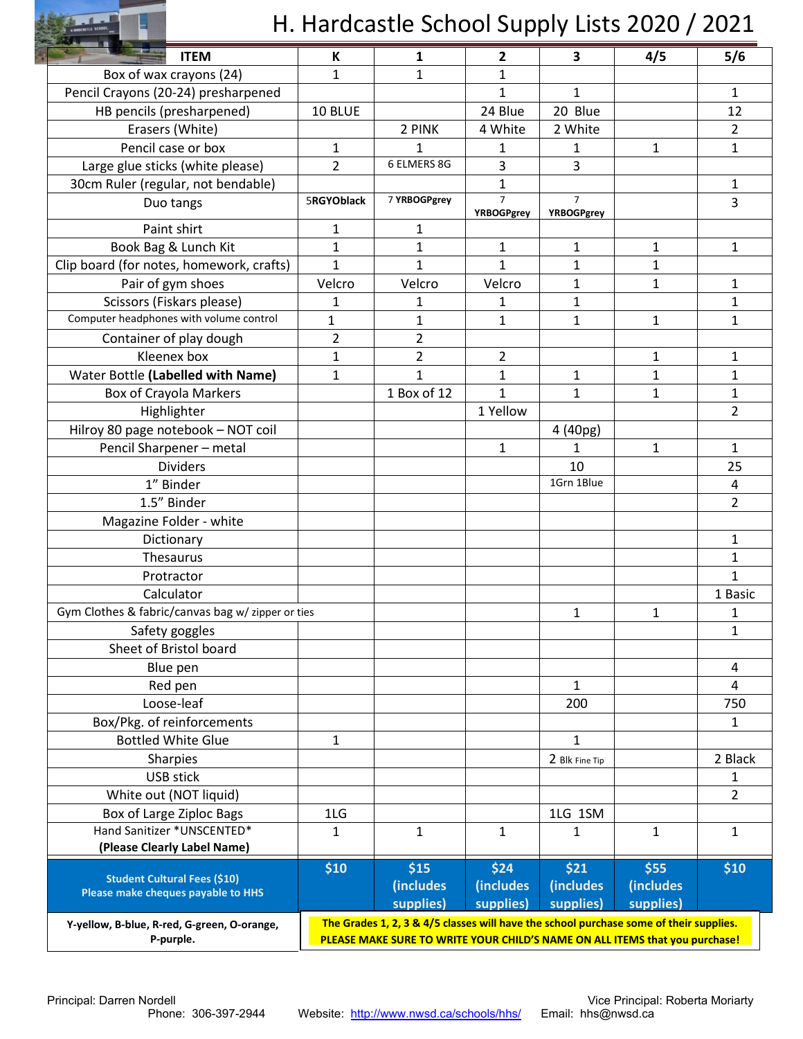

## H. Hardcastle School Supply Lists 2020 / 2021

| <b>ITEM</b>                                              | К                                                                                      | 1              | $\mathbf{2}$                        | 3                                   | 4/5          | 5/6            |
|----------------------------------------------------------|----------------------------------------------------------------------------------------|----------------|-------------------------------------|-------------------------------------|--------------|----------------|
| Box of wax crayons (24)                                  | 1                                                                                      | $\mathbf{1}$   | $\mathbf 1$                         |                                     |              |                |
| Pencil Crayons (20-24) presharpened                      |                                                                                        |                | 1                                   | $\mathbf{1}$                        |              | 1              |
| HB pencils (presharpened)                                | 10 BLUE                                                                                |                | 24 Blue                             | 20 Blue                             |              | 12             |
| Erasers (White)                                          |                                                                                        | 2 PINK         | 4 White                             | 2 White                             |              | $\overline{2}$ |
| Pencil case or box                                       | 1                                                                                      | 1              | 1                                   | 1                                   | 1            | $\mathbf{1}$   |
| Large glue sticks (white please)                         | $\overline{2}$                                                                         | 6 ELMERS 8G    | 3                                   | 3                                   |              |                |
| 30cm Ruler (regular, not bendable)                       |                                                                                        |                | 1                                   |                                     |              | 1              |
| Duo tangs                                                | 5RGYOblack                                                                             | 7 YRBOGPgrey   | $\overline{7}$<br><b>YRBOGPgrey</b> | $\overline{7}$<br><b>YRBOGPgrey</b> |              | 3              |
| Paint shirt                                              | 1                                                                                      | 1              |                                     |                                     |              |                |
| Book Bag & Lunch Kit                                     | $\mathbf{1}$                                                                           | $\mathbf{1}$   | $\mathbf{1}$                        | $\mathbf{1}$                        | $\mathbf{1}$ | $\mathbf{1}$   |
| Clip board (for notes, homework, crafts)                 | $\mathbf{1}$                                                                           | 1              | $\mathbf{1}$                        | 1                                   | 1            |                |
| Pair of gym shoes                                        | Velcro                                                                                 | Velcro         | Velcro                              | $\mathbf{1}$                        | $\mathbf{1}$ | $\mathbf{1}$   |
| Scissors (Fiskars please)                                | 1                                                                                      | 1              | 1                                   | $\mathbf{1}$                        |              | $\mathbf{1}$   |
| Computer headphones with volume control                  | 1                                                                                      | 1              | $\mathbf{1}$                        | 1                                   | 1            | 1              |
| Container of play dough                                  | $\overline{a}$                                                                         | $\overline{2}$ |                                     |                                     |              |                |
| Kleenex box                                              | $\mathbf 1$                                                                            | $\overline{2}$ | $\overline{2}$                      |                                     | $\mathbf{1}$ | $\mathbf{1}$   |
| Water Bottle (Labelled with Name)                        | 1                                                                                      | $\mathbf{1}$   | $\mathbf{1}$                        | 1                                   | $\mathbf{1}$ | $\mathbf{1}$   |
| <b>Box of Crayola Markers</b>                            |                                                                                        | 1 Box of 12    | 1                                   | 1                                   | 1            | 1              |
| Highlighter                                              |                                                                                        |                | 1 Yellow                            |                                     |              | $\overline{2}$ |
| Hilroy 80 page notebook - NOT coil                       |                                                                                        |                |                                     | 4 (40pg)                            |              |                |
| Pencil Sharpener - metal                                 |                                                                                        |                | $\mathbf{1}$                        | 1                                   | 1            | 1              |
| <b>Dividers</b>                                          |                                                                                        |                |                                     | 10                                  |              | 25             |
| 1" Binder                                                |                                                                                        |                |                                     | 1Grn 1Blue                          |              | 4              |
| 1.5" Binder                                              |                                                                                        |                |                                     |                                     |              | $\overline{2}$ |
| Magazine Folder - white                                  |                                                                                        |                |                                     |                                     |              |                |
| Dictionary                                               |                                                                                        |                |                                     |                                     |              | $\mathbf{1}$   |
| Thesaurus                                                |                                                                                        |                |                                     |                                     |              | $\mathbf{1}$   |
| Protractor                                               |                                                                                        |                |                                     |                                     |              | $\mathbf{1}$   |
| Calculator                                               |                                                                                        |                |                                     |                                     |              | 1 Basic        |
| Gym Clothes & fabric/canvas bag w/ zipper or ties        |                                                                                        |                |                                     | 1                                   | $\mathbf{1}$ | 1              |
|                                                          |                                                                                        |                |                                     |                                     |              | $\mathbf 1$    |
| Safety goggles<br>Sheet of Bristol board                 |                                                                                        |                |                                     |                                     |              |                |
| Blue pen                                                 |                                                                                        |                |                                     |                                     |              | 4              |
| Red pen                                                  |                                                                                        |                |                                     | $\mathbf{1}$                        |              | 4              |
| Loose-leaf                                               |                                                                                        |                |                                     | 200                                 |              | 750            |
| Box/Pkg. of reinforcements                               |                                                                                        |                |                                     |                                     |              | 1              |
| <b>Bottled White Glue</b>                                | 1                                                                                      |                |                                     | $\mathbf{1}$                        |              |                |
| Sharpies                                                 |                                                                                        |                |                                     | 2 Blk Fine Tip                      |              | 2 Black        |
| <b>USB stick</b>                                         |                                                                                        |                |                                     |                                     |              | 1              |
| White out (NOT liquid)                                   |                                                                                        |                |                                     |                                     |              | $\overline{2}$ |
| Box of Large Ziploc Bags                                 | 1LG                                                                                    |                |                                     | 1LG 1SM                             |              |                |
| Hand Sanitizer *UNSCENTED*                               | 1                                                                                      | $\mathbf{1}$   | $\mathbf{1}$                        | 1                                   | $\mathbf{1}$ | 1              |
| (Please Clearly Label Name)                              |                                                                                        |                |                                     |                                     |              |                |
|                                                          | \$10                                                                                   | \$15           | \$24                                | \$21                                | \$55         | \$10           |
| <b>Student Cultural Fees (\$10)</b>                      |                                                                                        | (includes      | (includes                           | <i>(includes)</i>                   | (includes    |                |
| Please make cheques payable to HHS                       |                                                                                        | supplies)      | supplies)                           | supplies)                           | supplies)    |                |
|                                                          | The Grades 1, 2, 3 & 4/5 classes will have the school purchase some of their supplies. |                |                                     |                                     |              |                |
| Y-yellow, B-blue, R-red, G-green, O-orange,<br>P-purple. | PLEASE MAKE SURE TO WRITE YOUR CHILD'S NAME ON ALL ITEMS that you purchase!            |                |                                     |                                     |              |                |
|                                                          |                                                                                        |                |                                     |                                     |              |                |